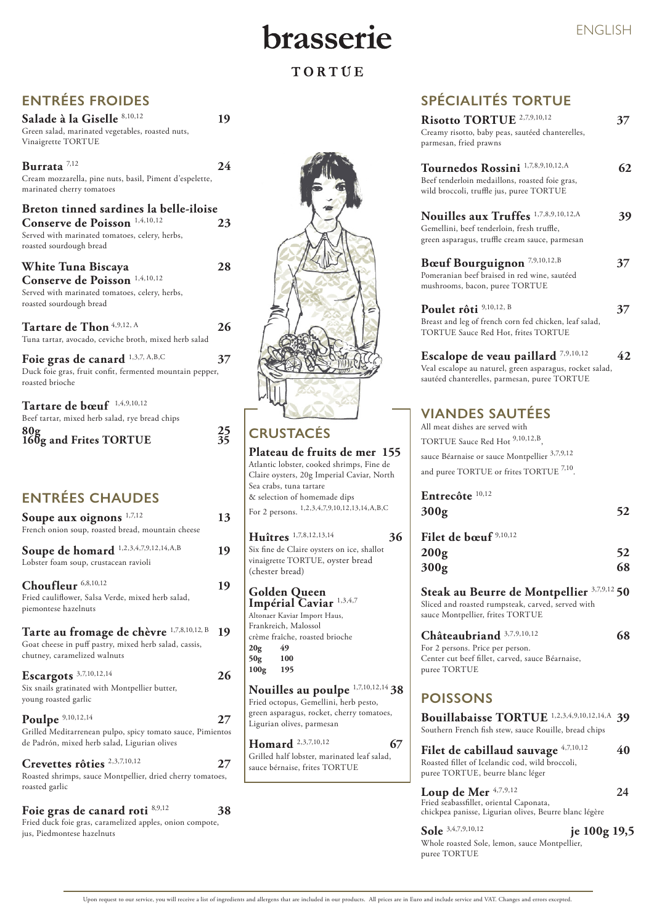# brasserie

### TORTUE

### **ENTRÉES CHAUDES**

| Soupe aux oignons $1,7,12$                        | 13 |
|---------------------------------------------------|----|
| French onion soup, roasted bread, mountain cheese |    |

Soupe de homard <sup>1,2,3,4,7,9,12,14,A,B</sup> 19 Lobster foam soup, crustacean ravioli

**Choufleur** 6,8,10,12 **19** Fried cauliflower, Salsa Verde, mixed herb salad, piemontese hazelnuts

**Tarte au fromage de chèvre** 1,7,8,10,12, B **19**

**Poulpe**  $9,10,12,14$  **27** Grilled Meditarrenean pulpo, spicy tomato sauce, Pimientos de Padrón, mixed herb salad, Ligurian olives

Goat cheese in puff pastry, mixed herb salad, cassis, chutney, caramelized walnuts

| Escargots $3,7,10,12,14$ | 26 |  |
|--------------------------|----|--|
|                          |    |  |

#### Foie gras de canard roti  $8,9,12$  38 Fried duck foie gras, caramelized apples, onion compote, jus, Piedmontese hazelnuts

Six snails gratinated with Montpellier butter,



young roasted garlic

### **Crevettes rôties** 2,3,7,10,12 **27**

**Filet de cabillaud sauvage**  $4,7,10,12$  40 Roasted fillet of Icelandic cod, wild broccoli, puree TORTUE, beurre blanc léger

#### **Loup de Mer**  $4,7,9,12$  24

Roasted shrimps, sauce Montpellier, dried cherry tomatoes, roasted garlic

Upon request to our service, you will receive a list of ingredients and allergens that are included in our products. All prices are in Euro and include service and VAT. Changes and errors excepted.

### **POISSONS**

**Bouillabaisse TORTUE** 1,2,3,4,9,10,12,14,A **39** Southern French fish stew, sauce Rouille, bread chips

Fried seabassfillet, oriental Caponata, chickpea panisse, Ligurian olives, Beurre blanc légère

**Sole** 3,4,7,9,10,12 **je 100g 19,5**

Whole roasted Sole, lemon, sauce Montpellier, puree TORTUE

**Tartare de Thon**  $4,9,12, A$  **26** Tuna tartar, avocado, ceviche broth, mixed herb salad

Foie gras de canard <sup>1,3,7, A,B,C</sup> 37 Duck foie gras, fruit confit, fermented mountain pepper, roasted brioche

> **200g 52 300g 68**

> **Steak au Beurre de Montpellier** 3,7,9,12 **50** Sliced and roasted rumpsteak, carved, served with sauce Montpellier, frites TORTUE

| Châteaubriand 3,7,9,10,12                        | 68 |
|--------------------------------------------------|----|
| For 2 persons. Price per person.                 |    |
| Center cut beef fillet, carved, sauce Béarnaise, |    |
| puree TORTUE                                     |    |

## **SPÉCIALITÉS TORTUE**

**Homard** <sup>2,3,7,10,12</sup> 67 Grilled half lobster, marinated leaf salad,

| Risotto TORTUE <sup>2,7,9,10,12</sup><br>Creamy risotto, baby peas, sautéed chanterelles,<br>parmesan, fried prawns                                                                                           | 37 |
|---------------------------------------------------------------------------------------------------------------------------------------------------------------------------------------------------------------|----|
| Tournedos Rossini <sup>1,7,8,9,10,12,A</sup><br>Beef tenderloin medaillons, roasted foie gras,<br>wild broccoli, truffle jus, puree TORTUE                                                                    | 62 |
| Nouilles aux Truffes 1,7,8,9,10,12,A<br>Gemellini, beef tenderloin, fresh truffle,<br>green asparagus, truffle cream sauce, parmesan                                                                          | 39 |
| Bœuf Bourguignon <sup>7,9,10,12,B</sup><br>Pomeranian beef braised in red wine, sautéed<br>mushrooms, bacon, puree TORTUE                                                                                     | 37 |
| Poulet rôti 9,10,12, B<br>Breast and leg of french corn fed chicken, leaf salad,<br><b>TORTUE Sauce Red Hot, frites TORTUE</b>                                                                                | 37 |
| Escalope de veau paillard <sup>7,9,10,12</sup><br>Veal escalope au naturel, green asparagus, rocket salad,<br>sautéed chanterelles, parmesan, puree TORTUE                                                    | 42 |
| <b>VIANDES SAUTÉES</b><br>All meat dishes are served with<br>TORTUE Sauce Red Hot <sup>9,10,12,B</sup><br>sauce Béarnaise or sauce Montpellier <sup>3,7,9,12</sup><br>and puree TORTUE or frites TORTUE 7,10. |    |
| Entrecôte <sup>10,12</sup><br>300 <sub>g</sub>                                                                                                                                                                | 52 |
| Filet de bœuf <sup>9,10,12</sup>                                                                                                                                                                              |    |

### **ENTRÉES FROIDES**



**Burrata** 7,12 **24** Cream mozzarella, pine nuts, basil, Piment d'espelette, marinated cherry tomatoes

**Breton tinned sardines la belle-iloise Conserve de Poisson** 1,4,10,12 **23** Served with marinated tomatoes, celery, herbs, roasted sourdough bread

**White Tuna Biscaya 28 Conserve de Poisson** 1,4,10,12

Served with marinated tomatoes, celery, herbs, roasted sourdough bread

**Tartare de bœuf** 1,4,9,10,12 Beef tartar, mixed herb salad, rye bread chips **80g 25 160g and Frites TORTUE 35 CRUSTACÉS**

#### **Plateau de fruits de mer 155**

Atlantic lobster, cooked shrimps, Fine de Claire oysters, 20g Imperial Caviar, North Sea crabs, tuna tartare & selection of homemade dips For 2 persons. 1,2,3,4,7,9,10,12,13,14,A,B,C

**Huîtres** 1,7,8,12,13,14 **36** Six fine de Claire oysters on ice, shallot vinaigrette TORTUE, oyster bread (chester bread)

**Golden Queen Impérial Caviar** 1,3,4,7 Altonaer Kaviar Import Haus, Frankreich, Malossol crème fraîche, roasted brioche **20g 49 50g 100 100g 195 Nouilles au poulpe** 1,7,10,12,14 **38**

Fried octopus, Gemellini, herb pesto, green asparagus, rocket, cherry tomatoes, Ligurian olives, parmesan

sauce bérnaise, frites TORTUE